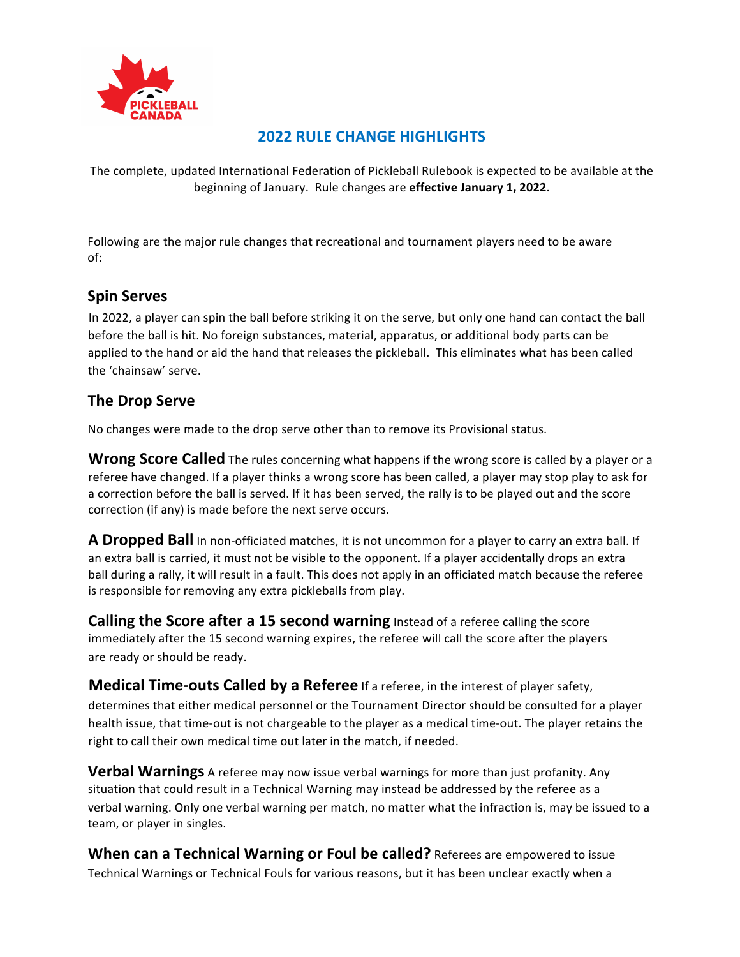

## **2022 RULE CHANGE HIGHLIGHTS**

The complete, updated International Federation of Pickleball Rulebook is expected to be available at the beginning of January. Rule changes are effective January 1, 2022.

Following are the major rule changes that recreational and tournament players need to be aware of:

## **Spin Serves**

In 2022, a player can spin the ball before striking it on the serve, but only one hand can contact the ball before the ball is hit. No foreign substances, material, apparatus, or additional body parts can be applied to the hand or aid the hand that releases the pickleball. This eliminates what has been called the 'chainsaw' serve.

## **The Drop Serve**

No changes were made to the drop serve other than to remove its Provisional status.

**Wrong Score Called** The rules concerning what happens if the wrong score is called by a player or a referee have changed. If a player thinks a wrong score has been called, a player may stop play to ask for a correction before the ball is served. If it has been served, the rally is to be played out and the score correction (if any) is made before the next serve occurs.

**A Dropped Ball** In non-officiated matches, it is not uncommon for a player to carry an extra ball. If an extra ball is carried, it must not be visible to the opponent. If a player accidentally drops an extra ball during a rally, it will result in a fault. This does not apply in an officiated match because the referee is responsible for removing any extra pickleballs from play.

**Calling the Score after a 15 second warning** Instead of a referee calling the score immediately after the 15 second warning expires, the referee will call the score after the players are ready or should be ready.

**Medical Time-outs Called by a Referee** If a referee, in the interest of player safety, determines that either medical personnel or the Tournament Director should be consulted for a player health issue, that time-out is not chargeable to the player as a medical time-out. The player retains the right to call their own medical time out later in the match, if needed.

**Verbal Warnings** A referee may now issue verbal warnings for more than just profanity. Any situation that could result in a Technical Warning may instead be addressed by the referee as a verbal warning. Only one verbal warning per match, no matter what the infraction is, may be issued to a team, or player in singles.

**When can a Technical Warning or Foul be called?** Referees are empowered to issue Technical Warnings or Technical Fouls for various reasons, but it has been unclear exactly when a